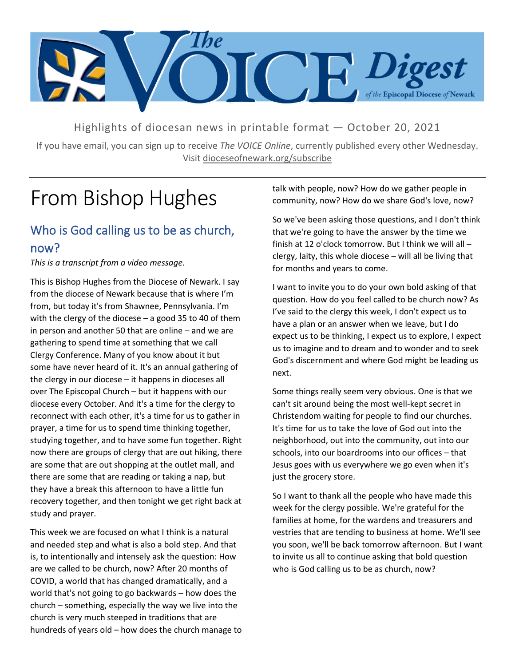

Highlights of diocesan news in printable format — October 20, 2021

If you have email, you can sign up to receive *The VOICE Online*, currently published every other Wednesday. Visit dioceseofnewark.org/subscribe

## From Bishop Hughes

### Who is God calling us to be as church, now?

*This is a transcript from a video message.*

This is Bishop Hughes from the Diocese of Newark. I say from the diocese of Newark because that is where I'm from, but today it's from Shawnee, Pennsylvania. I'm with the clergy of the diocese – a good 35 to 40 of them in person and another 50 that are online – and we are gathering to spend time at something that we call Clergy Conference. Many of you know about it but some have never heard of it. It's an annual gathering of the clergy in our diocese – it happens in dioceses all over The Episcopal Church – but it happens with our diocese every October. And it's a time for the clergy to reconnect with each other, it's a time for us to gather in prayer, a time for us to spend time thinking together, studying together, and to have some fun together. Right now there are groups of clergy that are out hiking, there are some that are out shopping at the outlet mall, and there are some that are reading or taking a nap, but they have a break this afternoon to have a little fun recovery together, and then tonight we get right back at study and prayer.

This week we are focused on what I think is a natural and needed step and what is also a bold step. And that is, to intentionally and intensely ask the question: How are we called to be church, now? After 20 months of COVID, a world that has changed dramatically, and a world that's not going to go backwards – how does the church – something, especially the way we live into the church is very much steeped in traditions that are hundreds of years old – how does the church manage to talk with people, now? How do we gather people in community, now? How do we share God's love, now?

So we've been asking those questions, and I don't think that we're going to have the answer by the time we finish at 12 o'clock tomorrow. But I think we will all – clergy, laity, this whole diocese – will all be living that for months and years to come.

I want to invite you to do your own bold asking of that question. How do you feel called to be church now? As I've said to the clergy this week, I don't expect us to have a plan or an answer when we leave, but I do expect us to be thinking, I expect us to explore, I expect us to imagine and to dream and to wonder and to seek God's discernment and where God might be leading us next.

Some things really seem very obvious. One is that we can't sit around being the most well-kept secret in Christendom waiting for people to find our churches. It's time for us to take the love of God out into the neighborhood, out into the community, out into our schools, into our boardrooms into our offices – that Jesus goes with us everywhere we go even when it's just the grocery store.

So I want to thank all the people who have made this week for the clergy possible. We're grateful for the families at home, for the wardens and treasurers and vestries that are tending to business at home. We'll see you soon, we'll be back tomorrow afternoon. But I want to invite us all to continue asking that bold question who is God calling us to be as church, now?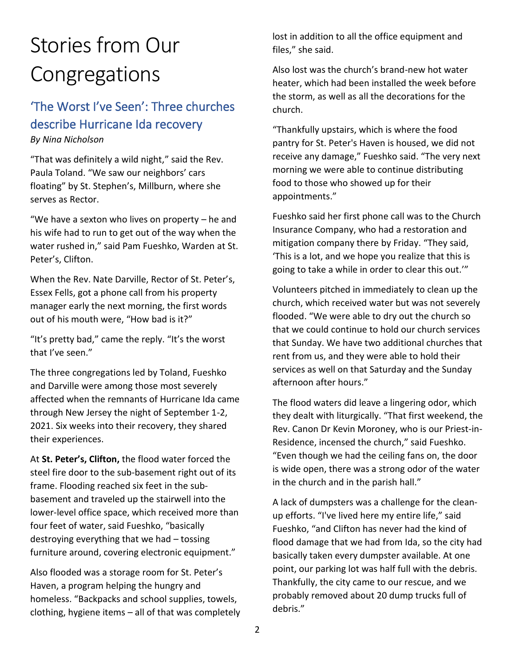# Stories from Our Congregations

## 'The Worst I've Seen': Three churches describe Hurricane Ida recovery

#### *By Nina Nicholson*

"That was definitely a wild night," said the Rev. Paula Toland. "We saw our neighbors' cars floating" by St. Stephen's, Millburn, where she serves as Rector.

"We have a sexton who lives on property – he and his wife had to run to get out of the way when the water rushed in," said Pam Fueshko, Warden at St. Peter's, Clifton.

When the Rev. Nate Darville, Rector of St. Peter's, Essex Fells, got a phone call from his property manager early the next morning, the first words out of his mouth were, "How bad is it?"

"It's pretty bad," came the reply. "It's the worst that I've seen."

The three congregations led by Toland, Fueshko and Darville were among those most severely affected when the remnants of Hurricane Ida came through New Jersey the night of September 1-2, 2021. Six weeks into their recovery, they shared their experiences.

At **St. Peter's, Clifton,** the flood water forced the steel fire door to the sub-basement right out of its frame. Flooding reached six feet in the subbasement and traveled up the stairwell into the lower-level office space, which received more than four feet of water, said Fueshko, "basically destroying everything that we had – tossing furniture around, covering electronic equipment."

Also flooded was a storage room for St. Peter's Haven, a program helping the hungry and homeless. "Backpacks and school supplies, towels, clothing, hygiene items – all of that was completely lost in addition to all the office equipment and files," she said.

Also lost was the church's brand-new hot water heater, which had been installed the week before the storm, as well as all the decorations for the church.

"Thankfully upstairs, which is where the food pantry for St. Peter's Haven is housed, we did not receive any damage," Fueshko said. "The very next morning we were able to continue distributing food to those who showed up for their appointments."

Fueshko said her first phone call was to the Church Insurance Company, who had a restoration and mitigation company there by Friday. "They said, 'This is a lot, and we hope you realize that this is going to take a while in order to clear this out.'"

Volunteers pitched in immediately to clean up the church, which received water but was not severely flooded. "We were able to dry out the church so that we could continue to hold our church services that Sunday. We have two additional churches that rent from us, and they were able to hold their services as well on that Saturday and the Sunday afternoon after hours."

The flood waters did leave a lingering odor, which they dealt with liturgically. "That first weekend, the Rev. Canon Dr Kevin Moroney, who is our Priest-in-Residence, incensed the church," said Fueshko. "Even though we had the ceiling fans on, the door is wide open, there was a strong odor of the water in the church and in the parish hall."

A lack of dumpsters was a challenge for the cleanup efforts. "I've lived here my entire life," said Fueshko, "and Clifton has never had the kind of flood damage that we had from Ida, so the city had basically taken every dumpster available. At one point, our parking lot was half full with the debris. Thankfully, the city came to our rescue, and we probably removed about 20 dump trucks full of debris."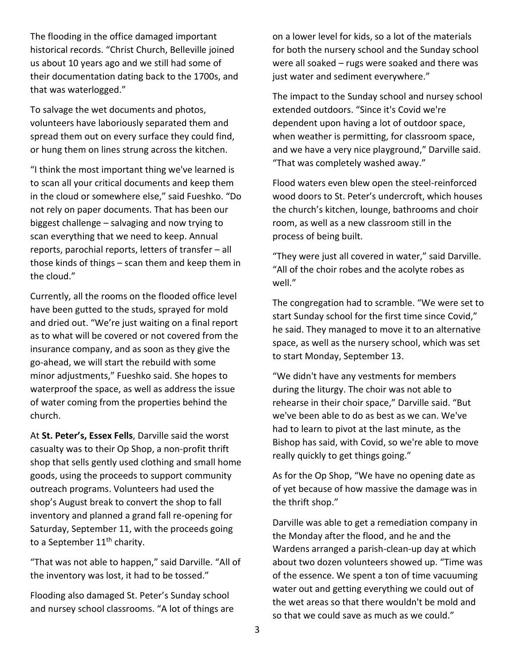The flooding in the office damaged important historical records. "Christ Church, Belleville joined us about 10 years ago and we still had some of their documentation dating back to the 1700s, and that was waterlogged."

To salvage the wet documents and photos, volunteers have laboriously separated them and spread them out on every surface they could find, or hung them on lines strung across the kitchen.

"I think the most important thing we've learned is to scan all your critical documents and keep them in the cloud or somewhere else," said Fueshko. "Do not rely on paper documents. That has been our biggest challenge – salvaging and now trying to scan everything that we need to keep. Annual reports, parochial reports, letters of transfer – all those kinds of things – scan them and keep them in the cloud."

Currently, all the rooms on the flooded office level have been gutted to the studs, sprayed for mold and dried out. "We're just waiting on a final report as to what will be covered or not covered from the insurance company, and as soon as they give the go-ahead, we will start the rebuild with some minor adjustments," Fueshko said. She hopes to waterproof the space, as well as address the issue of water coming from the properties behind the church.

At **St. Peter's, Essex Fells**, Darville said the worst casualty was to their Op Shop, a non-profit thrift shop that sells gently used clothing and small home goods, using the proceeds to support community outreach programs. Volunteers had used the shop's August break to convert the shop to fall inventory and planned a grand fall re-opening for Saturday, September 11, with the proceeds going to a September 11<sup>th</sup> charity.

"That was not able to happen," said Darville. "All of the inventory was lost, it had to be tossed."

Flooding also damaged St. Peter's Sunday school and nursey school classrooms. "A lot of things are

on a lower level for kids, so a lot of the materials for both the nursery school and the Sunday school were all soaked – rugs were soaked and there was just water and sediment everywhere."

The impact to the Sunday school and nursey school extended outdoors. "Since it's Covid we're dependent upon having a lot of outdoor space, when weather is permitting, for classroom space, and we have a very nice playground," Darville said. "That was completely washed away."

Flood waters even blew open the steel-reinforced wood doors to St. Peter's undercroft, which houses the church's kitchen, lounge, bathrooms and choir room, as well as a new classroom still in the process of being built.

"They were just all covered in water," said Darville. "All of the choir robes and the acolyte robes as well."

The congregation had to scramble. "We were set to start Sunday school for the first time since Covid," he said. They managed to move it to an alternative space, as well as the nursery school, which was set to start Monday, September 13.

"We didn't have any vestments for members during the liturgy. The choir was not able to rehearse in their choir space," Darville said. "But we've been able to do as best as we can. We've had to learn to pivot at the last minute, as the Bishop has said, with Covid, so we're able to move really quickly to get things going."

As for the Op Shop, "We have no opening date as of yet because of how massive the damage was in the thrift shop."

Darville was able to get a remediation company in the Monday after the flood, and he and the Wardens arranged a parish-clean-up day at which about two dozen volunteers showed up. "Time was of the essence. We spent a ton of time vacuuming water out and getting everything we could out of the wet areas so that there wouldn't be mold and so that we could save as much as we could."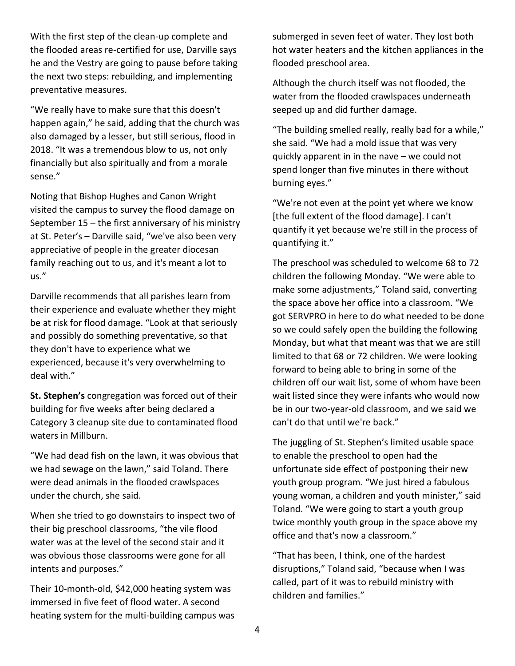With the first step of the clean-up complete and the flooded areas re-certified for use, Darville says he and the Vestry are going to pause before taking the next two steps: rebuilding, and implementing preventative measures.

"We really have to make sure that this doesn't happen again," he said, adding that the church was also damaged by a lesser, but still serious, flood in 2018. "It was a tremendous blow to us, not only financially but also spiritually and from a morale sense."

Noting that Bishop Hughes and Canon Wright visited the campus to survey the flood damage on September 15 – the first anniversary of his ministry at St. Peter's – Darville said, "we've also been very appreciative of people in the greater diocesan family reaching out to us, and it's meant a lot to us."

Darville recommends that all parishes learn from their experience and evaluate whether they might be at risk for flood damage. "Look at that seriously and possibly do something preventative, so that they don't have to experience what we experienced, because it's very overwhelming to deal with."

**St. Stephen's** congregation was forced out of their building for five weeks after being declared a Category 3 cleanup site due to contaminated flood waters in Millburn.

"We had dead fish on the lawn, it was obvious that we had sewage on the lawn," said Toland. There were dead animals in the flooded crawlspaces under the church, she said.

When she tried to go downstairs to inspect two of their big preschool classrooms, "the vile flood water was at the level of the second stair and it was obvious those classrooms were gone for all intents and purposes."

Their 10-month-old, \$42,000 heating system was immersed in five feet of flood water. A second heating system for the multi-building campus was submerged in seven feet of water. They lost both hot water heaters and the kitchen appliances in the flooded preschool area.

Although the church itself was not flooded, the water from the flooded crawlspaces underneath seeped up and did further damage.

"The building smelled really, really bad for a while," she said. "We had a mold issue that was very quickly apparent in in the nave – we could not spend longer than five minutes in there without burning eyes."

"We're not even at the point yet where we know [the full extent of the flood damage]. I can't quantify it yet because we're still in the process of quantifying it."

The preschool was scheduled to welcome 68 to 72 children the following Monday. "We were able to make some adjustments," Toland said, converting the space above her office into a classroom. "We got SERVPRO in here to do what needed to be done so we could safely open the building the following Monday, but what that meant was that we are still limited to that 68 or 72 children. We were looking forward to being able to bring in some of the children off our wait list, some of whom have been wait listed since they were infants who would now be in our two-year-old classroom, and we said we can't do that until we're back."

The juggling of St. Stephen's limited usable space to enable the preschool to open had the unfortunate side effect of postponing their new youth group program. "We just hired a fabulous young woman, a children and youth minister," said Toland. "We were going to start a youth group twice monthly youth group in the space above my office and that's now a classroom."

"That has been, I think, one of the hardest disruptions," Toland said, "because when I was called, part of it was to rebuild ministry with children and families."